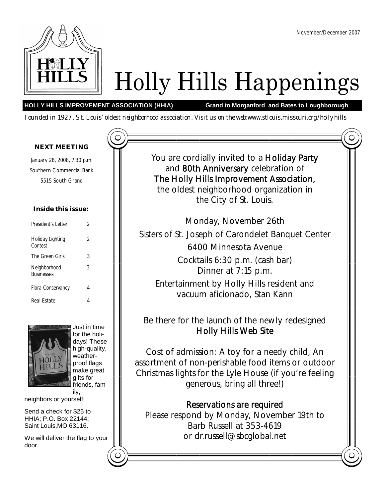

# Holly Hills Happenings

### **HOLLY HILLS IMPROVEMENT ASSOCIATION (HHIA) Grand to Morganford and Bates to Loughborough**

Founded in 1927. St. Louis' oldest neighborhood association. Visit us on the web:www.stlouis.missouri.org/hollyhills

### *NEXT MEETING*

January 28, 2008, 7:30 p.m. Southern Commercial Bank 5515 South Grand

### **Inside this issue:**

| President's Letter                | 2 |
|-----------------------------------|---|
| Holiday Lighting<br>Contest       | 2 |
| The Green Girls                   | 3 |
| Neighborhood<br><b>Businesses</b> | 3 |
| Flora Conservancy                 | 4 |
| Real Estate                       |   |



Just in time for the holidays! These high-quality, weatherproof flags make great gifts for friends, fam-

ily,

neighbors or yourself!

Send a check for \$25 to HHIA; P.O. Box 22144; Saint Louis,MO 63116.

We will deliver the flag to your door.

You are cordially invited to a Holiday Party and 80th Anniversary celebration of The Holly Hills Improvement Association, the oldest neighborhood organization in the City of St. Louis.

Monday, November 26th Sisters of St. Joseph of Carondelet Banquet Center 6400 Minnesota Avenue Cocktails 6:30 p.m. (cash bar) Dinner at 7:15 p.m. Entertainment by Holly Hills resident and vacuum aficionado, Stan Kann

Be there for the launch of the newly redesigned Holly Hills Web Site

Cost of admission: A toy for a needy child, An assortment of non-perishable food items or outdoor Christmas lights for the Lyle House (if you're feeling generous, bring all three!)

Reservations are required Please respond by Monday, November 19th to Barb Russell at 353-4619 or dr.russell@sbcglobal.net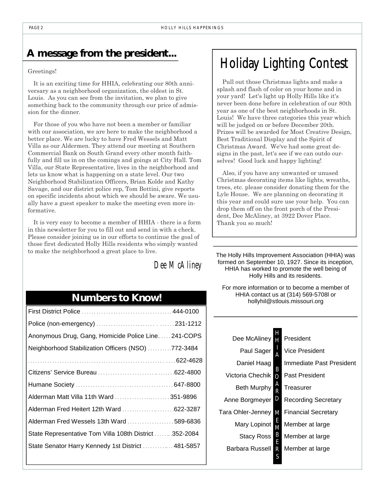# **A message from the president...**

### Greetings!

It is an exciting time for HHIA, celebrating our 80th anniversary as a neighborhood organization, the oldest in St. Louis. As you can see from the invitation, we plan to give something back to the community through our price of admission for the dinner.

For those of you who have not been a member or familiar with our association, we are here to make the neighborhood a better place. We are lucky to have Fred Wessels and Matt Villa as our Aldermen. They attend our meeting at Southern Commercial Bank on South Grand every other month faithfully and fill us in on the comings and goings at City Hall. Tom Villa, our State Representative, lives in the neighborhood and lets us know what is happening on a state level. Our two Neighborhood Stabilization Officers, Brian Kolde and Kathy Savage, and our district police rep, Tom Bottini, give reports on specific incidents about which we should be aware. We usually have a guest speaker to make the meeting even more informative.

It is very easy to become a member of HHIA - there is a form in this newsletter for you to fill out and send in with a check. Please consider joining us in our efforts to continue the goal of those first dedicated Holly Hills residents who simply wanted to make the neighborhood a great place to live.

# *Dee McAliney*

# **Numbers to Know!**

| Anonymous Drug, Gang, Homicide Police Line241-COPS     |  |
|--------------------------------------------------------|--|
| Neighborhood Stabilization Officers (NSO) 772-3484     |  |
|                                                        |  |
|                                                        |  |
|                                                        |  |
| Alderman Matt Villa 11th Ward  351-9896                |  |
|                                                        |  |
| Alderman Fred Wessels 13th Ward  589-6836              |  |
| State Representative Tom Villa 108th District 352-2084 |  |
| State Senator Harry Kennedy 1st District  481-5857     |  |
|                                                        |  |

# Holiday Lighting Contest

Pull out those Christmas lights and make a splash and flash of color on your home and in your yard! Let's light up Holly Hills like it's never been done before in celebration of our 80th year as one of the best neighborhoods in St. Louis! We have three categories this year which will be judged on or before December 20th. Prizes will be awarded for Most Creative Design, Best Traditional Display and the Spirit of Christmas Award. We've had some great designs in the past, let's see if we can outdo ourselves! Good luck and happy lighting!

Also, if you have any unwanted or unused Christmas decorating items like lights, wreaths, trees, etc. please consider donating them for the Lyle House. We are planning on decorating it this year and could sure use your help. You can drop them off on the front porch of the President, Dee McAliney, at 3922 Dover Place. Thank you so much!

The Holly Hills Improvement Association (HHIA) was formed on September 10, 1927. Since its inception, HHIA has worked to promote the well being of Holly Hills and its residents.

For more information or to become a member of HHIA contact us at (314) 569-5708l or hollyhil@stlouis.missouri.org

| Dee McAliney       | Н      | President                  |
|--------------------|--------|----------------------------|
| Paul Sager         | Α      | Vice President             |
| Daniel Haag        |        | Immediate Past President   |
| Victoria Chechik   | B<br>Ω | Past President             |
| <b>Beth Murphy</b> | Ą<br>R | Treasurer                  |
| Anne Borgmeyer     | D      | <b>Recording Secretary</b> |
| Tara Ohler-Jenney  | M      | <b>Financial Secretary</b> |
| Mary Lopinot       | E<br>M | Member at large            |
| Stacy Ross         | B<br>E | Member at large            |
| Barbara Russell    | R      | Member at large            |
|                    | S      |                            |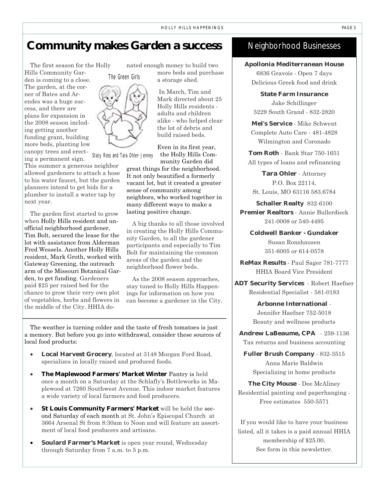### **Community makes Garden a success**

The first season for the Holly Hills Community Garden is coming to a close. The garden, at the corner of Bates and Arendes was a huge success, and there are plans for expansion in the 2008 season including getting another funding grant, building more beds, planting low canopy trees and erecting a permanent sign. Stacy Ross and Tara Ohler-Jenney

This summer a generous neighbor allowed gardeners to attach a hose to his water faucet, but the garden planners intend to get bids for a plumber to install a water tap by next year.

The garden first started to grow when Holly Hills resident and unofficial neighborhood gardener, Tim Bolt, secured the lease for the lot with assistance from Alderman Fred Wessels. Another Holly Hills resident, Mark Groth, worked with Gateway Greening, the outreach arm of the Missouri Botanical Garden, to get funding. Gardeners paid \$25 per raised bed for the chance to grow their very own plot of vegetables, herbs and flowers in the middle of the City. HHIA donated enough money to build two more beds and purchase a storage shed.

> In March, Tim and Mark directed about 25 Holly Hills residents adults and children alike - who helped clear the lot of debris and build raised beds.

Even in its first year, the Holly Hills Com-

munity Garden did great things for the neighborhood. It not only beautified a formerly vacant lot, but it created a greater sense of community among neighbors, who worked together in many different ways to make a lasting positive change.

A big thanks to all those involved in creating the Holly Hills Community Garden, to all the gardener participants and especially to Tim Bolt for maintaining the common areas of the garden and the neighborhood flower beds.

As the 2008 season approaches, stay tuned to Holly Hills Happenings for information on how you can become a gardener in the City.

The weather is turning colder and the taste of fresh tomatoes is just a memory. But before you go into withdrawal, consider these sources of local food products:

- **Local Harvest Grocery**, located at 3148 Morgan Ford Road, specializes in locally raised and produced foods.
- **The Maplewood Farmers' Market Winter** Pantry is held once a month on a Saturday at the Schlafly's Bottleworks in Maplewood at 7260 Southwest Avenue. This indoor market features a wide variety of local farmers and food producers.
- **St Louis Community Farmers' Market** will be held the second Saturday of each month at St. John's Episcopal Church at 3664 Arsenal St from 8:30am to Noon and will feature an assortment of local food producers and artisans.
- **Soulard Farmer's Market** is open year round, Wednesday through Saturday from 7 a.m. to 5 p.m.

### Neighborhood Businesses

**Apollonia Mediterranean House**  6836 Gravois - Open 7 days Delicious Greek food and drink

**State Farm Insurance** Jake Schillinger 5229 South Grand - 832-2820

**Mel's Service** - Mike Schwent Complete Auto Care - 481-4828 Wilmington and Coronado

**Tom Roth** - Bank Star 750-1651 All types of loans and refinancing

**Tara Ohler** - Attorney P.O. Box 22114, St. Louis, MO 63116 583.6784

**Schaller Realty** 832-6100 **Premier Realtors** - Annie Bullerdieck 241-0008 or 540-4495

**Coldwell Banker - Gundaker**  Susan Ronshausen 351-6005 or 614-0578

**ReMax Results** - Paul Sager 781-7777 HHIA Board Vice President

**ADT Security Services** - Robert Haefner Residential Specialist - 581-0183

> **Arbonne International** - Jennifer Haefner 752-5018 Beauty and wellness products

**Andrew LaBeaume, CPA** - 259-1136 Tax returns and business accounting

**Fuller Brush Company** - 832-3515 Anna Marie Baldwin Specializing in home products

**The City Mouse** - Dee McAliney Residential painting and paperhanging - Free estimates 550-5571

If you would like to have your business listed, all it takes is a paid annual HHIA membership of \$25.00. See form in this newsletter.